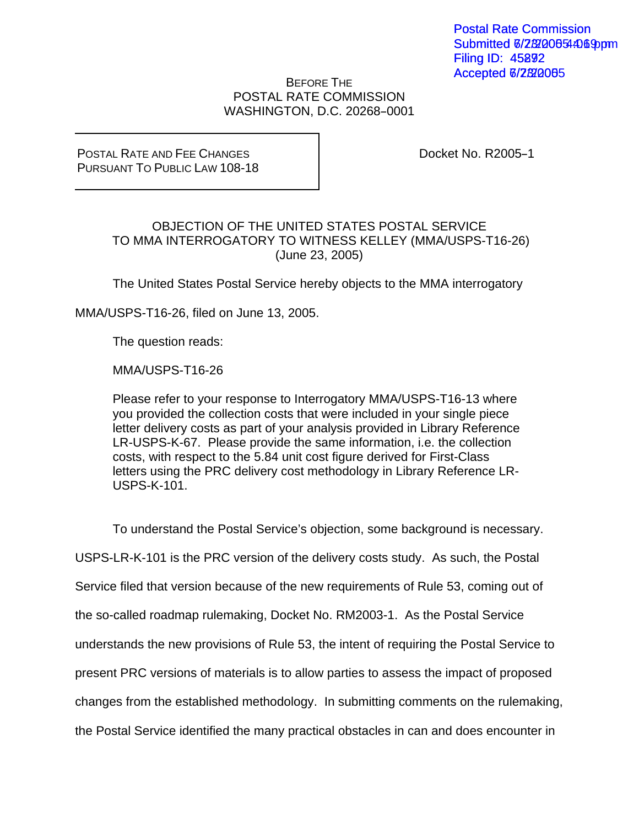## BEFORE THE POSTAL RATE COMMISSION WASHINGTON, D.C. 20268-0001

POSTAL RATE AND FEE CHANGES PURSUANT TO PUBLIC LAW 108-18 Docket No. R2005-1

## OBJECTION OF THE UNITED STATES POSTAL SERVICE TO MMA INTERROGATORY TO WITNESS KELLEY (MMA/USPS-T16-26) (June 23, 2005)

The United States Postal Service hereby objects to the MMA interrogatory

MMA/USPS-T16-26, filed on June 13, 2005.

The question reads:

MMA/USPS-T16-26

Please refer to your response to Interrogatory MMA/USPS-T16-13 where you provided the collection costs that were included in your single piece letter delivery costs as part of your analysis provided in Library Reference LR-USPS-K-67. Please provide the same information, i.e. the collection costs, with respect to the 5.84 unit cost figure derived for First-Class letters using the PRC delivery cost methodology in Library Reference LR-USPS-K-101.

To understand the Postal Service's objection, some background is necessary.

USPS-LR-K-101 is the PRC version of the delivery costs study. As such, the Postal

Service filed that version because of the new requirements of Rule 53, coming out of

the so-called roadmap rulemaking, Docket No. RM2003-1. As the Postal Service

understands the new provisions of Rule 53, the intent of requiring the Postal Service to

present PRC versions of materials is to allow parties to assess the impact of proposed

changes from the established methodology. In submitting comments on the rulemaking,

the Postal Service identified the many practical obstacles in can and does encounter in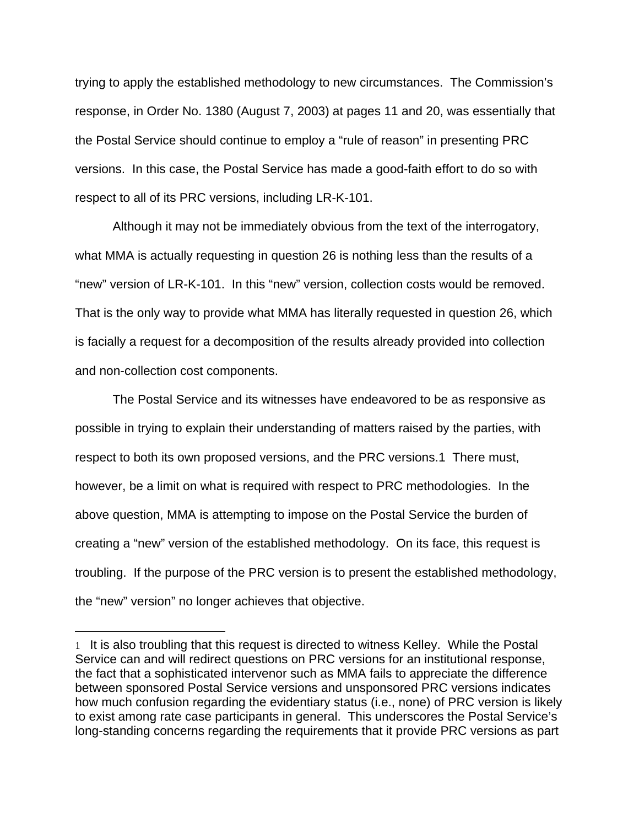trying to apply the established methodology to new circumstances. The Commission's response, in Order No. 1380 (August 7, 2003) at pages 11 and 20, was essentially that the Postal Service should continue to employ a "rule of reason" in presenting PRC versions. In this case, the Postal Service has made a good-faith effort to do so with respect to all of its PRC versions, including LR-K-101.

 Although it may not be immediately obvious from the text of the interrogatory, what MMA is actually requesting in question 26 is nothing less than the results of a "new" version of LR-K-101. In this "new" version, collection costs would be removed. That is the only way to provide what MMA has literally requested in question 26, which is facially a request for a decomposition of the results already provided into collection and non-collection cost components.

 The Postal Service and its witnesses have endeavored to be as responsive as possible in trying to explain their understanding of matters raised by the parties, with respect to both its own proposed versions, and the PRC versions.1 There must, however, be a limit on what is required with respect to PRC methodologies. In the above question, MMA is attempting to impose on the Postal Service the burden of creating a "new" version of the established methodology. On its face, this request is troubling. If the purpose of the PRC version is to present the established methodology, the "new" version" no longer achieves that objective.

 $\overline{a}$ 

<sup>1</sup> It is also troubling that this request is directed to witness Kelley. While the Postal Service can and will redirect questions on PRC versions for an institutional response, the fact that a sophisticated intervenor such as MMA fails to appreciate the difference between sponsored Postal Service versions and unsponsored PRC versions indicates how much confusion regarding the evidentiary status (i.e., none) of PRC version is likely to exist among rate case participants in general. This underscores the Postal Service's long-standing concerns regarding the requirements that it provide PRC versions as part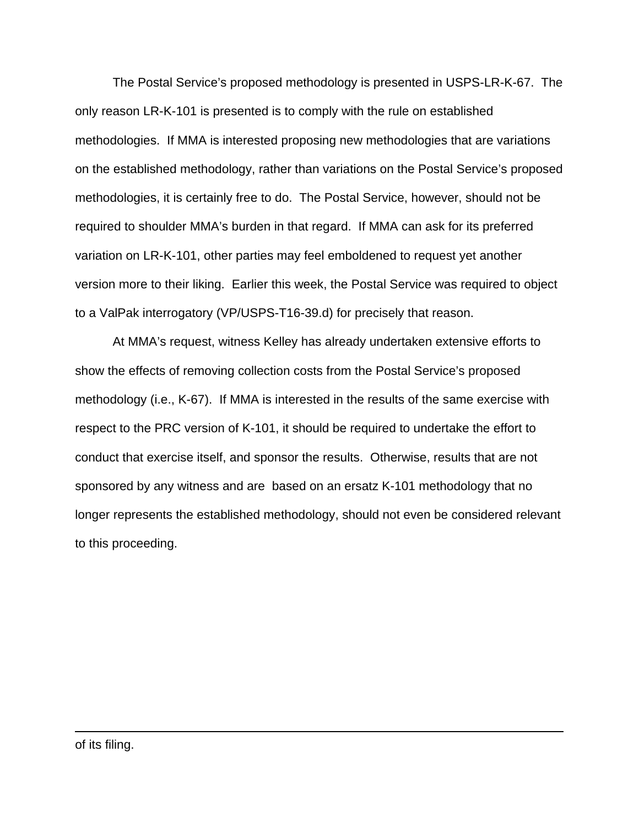The Postal Service's proposed methodology is presented in USPS-LR-K-67. The only reason LR-K-101 is presented is to comply with the rule on established methodologies. If MMA is interested proposing new methodologies that are variations on the established methodology, rather than variations on the Postal Service's proposed methodologies, it is certainly free to do. The Postal Service, however, should not be required to shoulder MMA's burden in that regard. If MMA can ask for its preferred variation on LR-K-101, other parties may feel emboldened to request yet another version more to their liking. Earlier this week, the Postal Service was required to object to a ValPak interrogatory (VP/USPS-T16-39.d) for precisely that reason.

 At MMA's request, witness Kelley has already undertaken extensive efforts to show the effects of removing collection costs from the Postal Service's proposed methodology (i.e., K-67). If MMA is interested in the results of the same exercise with respect to the PRC version of K-101, it should be required to undertake the effort to conduct that exercise itself, and sponsor the results. Otherwise, results that are not sponsored by any witness and are based on an ersatz K-101 methodology that no longer represents the established methodology, should not even be considered relevant to this proceeding.

 $\overline{a}$